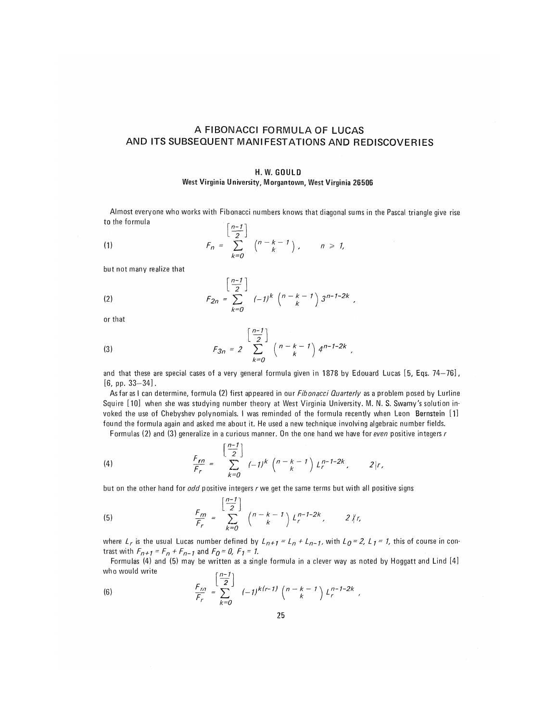# A FIBONACCI FORMULA OF LUCAS AND ITS SUBSEQUENT MANIFESTATIONS AND REDISCOVERIES

#### H.W.GOULD

# West Virginia University, Morgantown, West Virginia 26506

Almost everyone who works with Fibonacci numbers knows that diagonal sums in the Pascal triangle give rise to the formula  $\begin{bmatrix} n-1 \end{bmatrix}$ 

(1) 
$$
F_n = \sum_{k=0}^{\lfloor \frac{n-k}{2} \rfloor} {n-k-1 \choose k}, \qquad n \ge 1,
$$

but not many realize that

(2) 
$$
F_{2n} = \sum_{k=0}^{\left\lfloor \frac{n-1}{2} \right\rfloor} (-1)^k \binom{n-k-1}{k} 3^{n-1-2k},
$$

or that

(3) 
$$
F_{3n} = 2 \sum_{k=0}^{\left[\frac{n-1}{2}\right]} {n-k-1 \choose k} 4^{n-1-2k},
$$

and that these are special cases of a very general formula given in 1878 by Edouard Lucas [5, Eqs. 74-76],  $[6, pp. 33 - 34]$ .

As far as I can determine, formula (2) first appeared in our *Fibonacci Quarterly* as a problem posed by Lurline Squire [10] when she was studying number theory at West Virginia University. M. N. S. Swamy's solution invoked the use of Chebyshev polynomials. I was reminded of the formula recently when Leon Bernstein [1] found the formula again and asked me about it. He used a new technique involving algebraic number fields.

Formulas (2) and (3) generalize in a curious manner. On the one hand we have for even positive integers r

(4) 
$$
\frac{F_{rn}}{F_r} = \sum_{k=0}^{\left[\frac{n-1}{2}\right]} (-1)^k \binom{n-k-1}{k} L_r^{n-1-2k}, \qquad 2|r,
$$

but on the other hand for  $odd$  positive integers r we get the same terms but with all positive signs

(5) 
$$
\frac{F_m}{F_r} = \sum_{k=0}^{\left[\frac{n-1}{2}\right]} {n-k-1 \choose k} L_r^{n-1-2k}, \qquad 2 \nmid r,
$$

where  $L_r$  is the usual Lucas number defined by  $L_{n+1} = L_n + L_{n-1}$ , with  $L_0 = 2$ ,  $L_1 = 1$ , this of course in contrast with  $F_{n+1} = F_n + F_{n-1}$  and  $F_0 = 0$ ,  $F_1 = 1$ .

Formulas (4) and (5) may be written as a single formula in a clever way as noted by Hoggatt and Lind [4] who would write  $r_1 - 1$ 

(6) 
$$
\frac{F_{rq}}{F_r} = \sum_{k=0}^{\lfloor \frac{r}{2} \rfloor} (-1)^{k(r-1)} {n-k-1 \choose k} L_r^{n-1-2k},
$$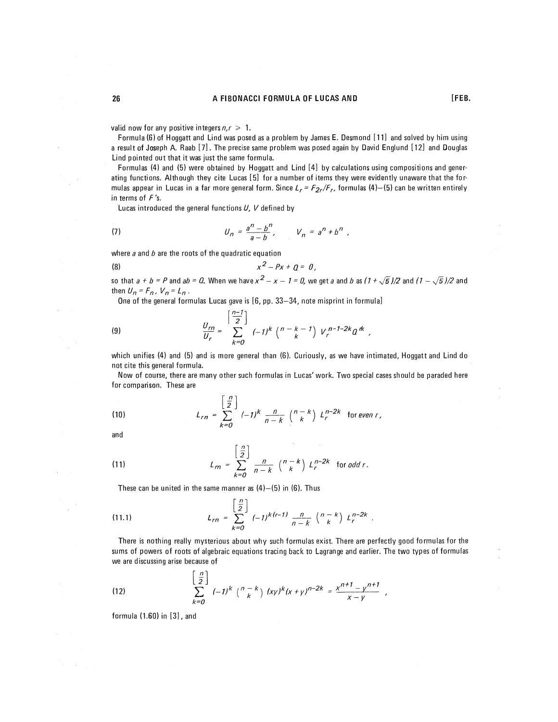## **26 A FIBONACCI FORMULA** OF LUCAS AND **EXAMPLE**

valid now for any positive integers  $n, r \geq 1$ .

Formula (6) of Hoggatt and Lind was posed as a problem by James E. Desmond [11] and solved by him using a result of Joseph A. Raab [7]. The precise same problem was posed again by David Englund [12] and Douglas Lind pointed out that it was just the same formula.

Formulas (4) and (5) were obtained by Hoggatt and Lind [4] by calculations using compositions and generating functions. Although they cite Lucas [5] for a number of items they were evidently unaware that the formulas appear in Lucas in a far more general form. Since  $L_r = F_{2r}/F_r$ , formulas (4)-(5) can be written entirely in terms of  $F$ 's.

Lucas introduced the general functions  $U, V$  defined by

(7) 
$$
U_n = \frac{a^n - b^n}{a - b}
$$
,  $V_n = a^n + b^n$ ,

where  $a$  and  $b$  are the roots of the quadratic equation

$$
x^2-Px+q=0,
$$

so that  $a + b = P$  and  $ab = Q$ . When we have  $x^2 - x - 1 = 0$ , we get a and b as (1 +  $\sqrt{5}$  )/2 and (1 –  $\sqrt{5}$  )/2 and then  $U_n = F_n$ ,  $V_n = L_n$ .

One of the general formulas Lucas gave is [6, pp. 33-34, note misprint in formula]

(9) 
$$
\frac{U_{rn}}{U_r} = \sum_{k=0}^{\left[\frac{n-1}{2}\right]} (-1)^k \binom{n-k-1}{k} V_r^{n-1-2k} a^k,
$$

which unifies (4) and (5) and is more general than (6). Curiously, as we have intimated, Hoggatt and Lind do not cite this general formula.

Now of course, there are many other such formulas in Lucas' work. Two special cases should be paraded here for comparison. These are

(10) 
$$
L_{rn} = \sum_{k=0}^{\left[\frac{n}{2}\right]} (-1)^k \frac{n}{n-k} {n-k \choose k} L_r^{n-2k} \text{ for even } r,
$$

and

(11) 
$$
L_{rn} = \sum_{k=0}^{\left\lfloor \frac{n}{2} \right\rfloor} \frac{n}{n-k} {n-k \choose k} L_r^{n-2k} \text{ for } odd r.
$$

These can be united in the same manner as  $(4)-(5)$  in  $(6)$ . Thus

(11.1) 
$$
L_{rn} = \sum_{k=0}^{\left[\frac{n}{2}\right]} (-1)^{k(r-1)} \frac{n}{n-k} {n-k \choose k} L_r^{n-2k}.
$$

There is nothing really mysterious about why such formulas exist There are perfectly good formulas for the sums of powers of roots of algebraic equations tracing back to Lagrange and earlier. The two types of formulas we are discussing arise because of

(12) 
$$
\left[\frac{n}{2}\right]_{k=0} (-1)^k \binom{n-k}{k} (xy)^k (x+y)^{n-2k} = \frac{x^{n+1} - y^{n+1}}{x-y},
$$

formula **(1.60)** in [3], and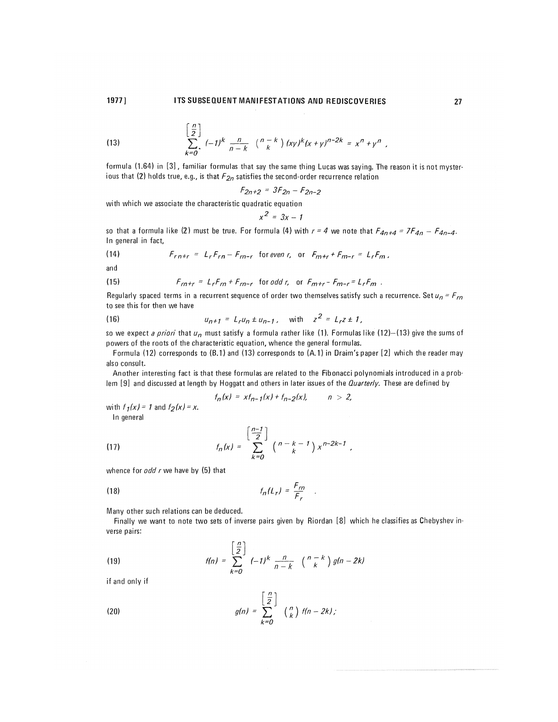# 1977] ITS SUBSEQUENT MANIFESTATIONS AND REDISCOVERIES 27

(13) 
$$
\sum_{k=0}^{\left[\frac{n}{2}\right]} (-1)^k \frac{n}{n-k} \binom{n-k}{k} (xy)^k (x+y)^{n-2k} = x^n + y^n,
$$

formula (1.64) in [3], familiar formulas that say the same thing Lucas was saying. The reason it is not mysterious that (2) holds true, e.g., is that  $F_{2n}$  satisfies the second-order recurrence relation

$$
F_{2n+2} = 3F_{2n} - F_{2n-2}
$$

with which we associate the characteristic quadratic equation

$$
x^2 = 3x - 1
$$

so that a formula like (2) must be true. For formula (4) with  $r = 4$  we note that  $F_{4n+4} = 7F_{4n} - F_{4n-4}$ . In general in fact,

(14) 
$$
F_{r n+r} = L_r F_{r n} - F_{r n-r} \text{ for even } r, \text{ or } F_{m+r} + F_{m-r} = L_r F_m.
$$

and

(15) 
$$
F_{rn+r} = L_r F_{rn} + F_{rn-r} \text{ for odd } r, \text{ or } F_{m+r} - F_{m-r} = L_r F_m.
$$

Regularly spaced terms in a recurrent sequence of order two themselves satisfy such a recurrence. Set  $u_n = F_{rn}$ to see this for then we have

(16) 
$$
u_{n+1} = L_r u_n \pm u_{n-1}, \text{ with } z^2 = L_r z \pm 1,
$$

so we expect a priori that  $u_n$  must satisfy a formula rather like (1). Formulas like (12)–(13) give the sums of powers of the roots of the characteristic equation, whence the general formulas.

Formula (12) corresponds to (B.1) and (13) corresponds to (A.1) in Draim's paper [2] which the reader may also consult.

Another interesting fact is that these formulas are related to the Fibonacci polynomials introduced in a problem [9] and discussed at length by Hoggatt and others in later issues of the Quarterly. These are defined by

$$
f_n(x) = xt_{n-1}(x) + f_{n-2}(x), \qquad n > 2,
$$

with  $f_1(x) = 1$  and  $f_2(x) = x$ . In general

(17) 
$$
f_n(x) = \sum_{k=0}^{\left[\frac{n-1}{2}\right]} {n-k-1 \choose k} x^{n-2k-1},
$$

whence for  $odd r$  we have by (5) that

$$
f_n(L_r) = \frac{F_{rn}}{F_r} \quad .
$$

Many other such relations can be deduced.

Finally we want to note two sets of inverse pairs given by Riordan [8] which he classifies as Chebyshev inverse pairs:

(19) 
$$
f(n) = \sum_{k=0}^{\left[\frac{n}{2}\right]} (-1)^k \frac{n}{n-k} {n-k \choose k} g(n-2k)
$$

if and only if

(20) 
$$
g(n) = \sum_{k=0}^{\left\lfloor \frac{n}{2} \right\rfloor} {n \choose k} f(n-2k);
$$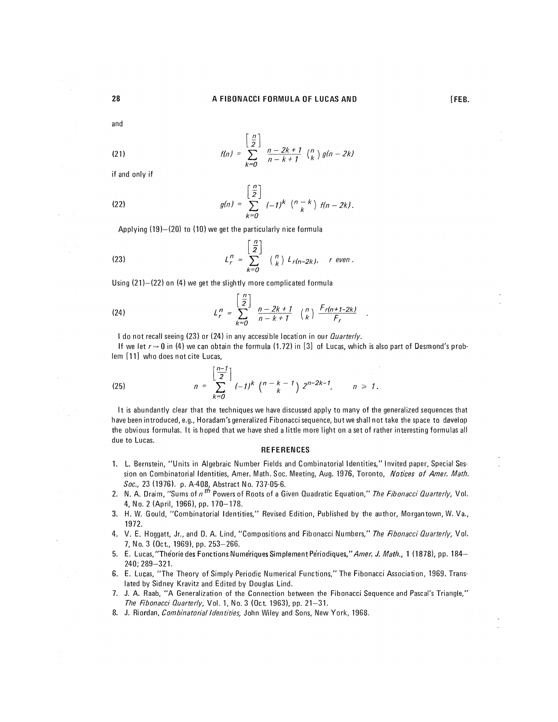and

$$
f(n) = \sum_{k=0}^{\left[\frac{n}{2}\right]} \frac{n-2k+1}{n-k+1} {n \choose k} g(n-2k)
$$

if and only if

(22) 
$$
g(n) = \sum_{k=0}^{\left\lfloor \frac{n}{2} \right\rfloor} (-1)^k \binom{n-k}{k} f(n-2k).
$$

Applying (19)—(20) to (10) we get the particularly nice formula

(23) 
$$
L_r^n = \sum_{k=0}^{\left[\frac{n}{2}\right]} \binom{n}{k} L_{r(n-2k)}, \quad r \text{ even}.
$$

Using (21)—(22) on (4) we get the slightly more complicated formula

(24) 
$$
L_r^n = \sum_{k=0}^{\left\lfloor \frac{n}{2} \right\rfloor} \frac{n-2k+1}{n-k+1} \binom{n}{k} \frac{F_r(n+1-2k)}{F_r}
$$

I do not recall seeing (23) or (24) in any accessible location in our *Quarterly.* 

If we let  $r \mapsto 0$  in (4) we can obtain the formula (1.72) in [3] of Lucas, which is also part of Desmond's problem [11] who does not cite Lucas,

(25) 
$$
n = \sum_{k=0}^{\left[\frac{n-1}{2}\right]} (-1)^k \binom{n-k-1}{k} 2^{n-2k-1}, \qquad n \geq 1.
$$

It is abundantly clear that the techniques we have discussed apply to many of the generalized sequences that have been introduced, e.g., Horadam's generalized Fibonacci sequence, but we shall not take the space to develop the obvious formulas. It is hoped that we have shed <sup>a</sup> little more light on <sup>a</sup> set of rather interesting formulas all due to Lucas.

#### **REFERENCES**

- 1. L. Bernstein, "Units in Algebraic Number Fields and Combinatorial Identities," Invited paper, Special Session on Combinatorial Identities, Amer. Math. Soc. Meeting, Aug. 1976, Toronto, Notices of Amer. Math. Soc, 23 (1976). p. A-408, Abstract No. 737-05-6.
- 2. N. A. Draim, "Sums of n<sup>th</sup> Powers of Roots of a Given Quadratic Equation," The Fibonacci Quarterly, Vol. 4, No. 2 (April, 1966), pp. 170-178.
- 3. H. W. Gould, "Combinatorial Identities," Revised Edition, Published by the author, Morgantown, W. Va., 1972.
- 4. V. E. Hoggatt, Jr., and D. A. Lind, "Compositions and Fibonacci Numbers," The Fibonacci Quarterly, Vol. 7, No. 3 (Oct., 1969), pp. 253-266.
- 5. E. Lucas,"The'oriedes FonctionsNume'riquesSimplementPe'riodiques/'/l/77er. J. Math., 1 (1878), pp. **184—**  240;289-321.
- 6. E. Lucas, "The Theory of Simply Periodic Numerical Functions," The Fibonacci Association, 1969. Translated by Sidney Kravitz and Edited by Douglas Lind.
- 7. J. A. Raab, "A Generalization of the Connection between the Fibonacci Sequence and Pascal's Triangle," The Fibonacci Quarterly, Vol. 1, No. 3 (Oct. 1963), pp. 21-31.
- 8. J. Riordan, Combinatorial Identities, John Wiley and Sons, New York, 1968.